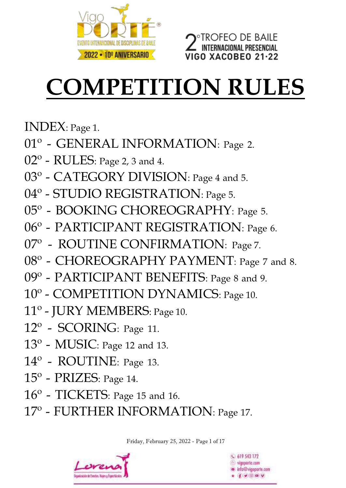

# **FEO DE BAILE** ITERNACIONAL PRESENCIAL **GO XACOBEO 21-22**

# **COMPETITION RULES**

INDEX: Page 1.

- 01<sup>°</sup> GENERAL INFORMATION: Page 2.
- 02<sup>o</sup> RULES: Page 2, 3 and 4.
- 03° CATEGORY DIVISION: Page 4 and 5.
- 04º STUDIO REGISTRATION: Page 5.
- 05º BOOKING CHOREOGRAPHY: Page 5.
- 06º PARTICIPANT REGISTRATION: Page 6.
- 07º ROUTINE CONFIRMATION: Page 7.
- 08° [CHOREOGRAPHY](https://dictionary.cambridge.org/es/diccionario/ingles-espanol/choreography) [PAYMENT](https://dictionary.cambridge.org/es/diccionario/ingles-espanol/payment): Page 7 and 8.
- 09<sup>o</sup> PARTICIPANT BENEFITS: Page 8 and 9.
- 10º COMPETITION DYNAMICS: Page 10.
- 11º JURY MEMBERS: Page 10.
- 12º SCORING: Page 11.
- $13^{\circ}$  MUSIC: Page 12 and 13.
- 14º ROUTINE: Page 13.
- 15º PRIZES: Page 14.
- 16º TICKETS: Page 15 and 16.
- 17º FURTHER INFORMATION: Page 17.

Friday, February 25, 2022 - Page 1 of 17



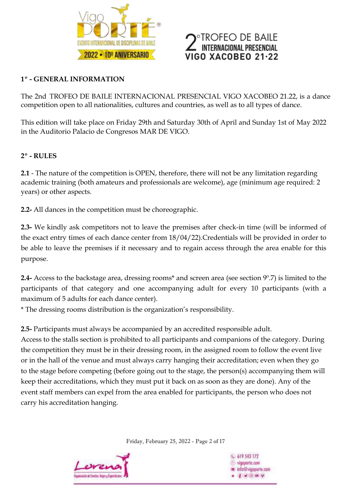

# **ROFEO DE BAILE** ERNACIONAL PRESENCIAL GO XACOBEO 21·

### **1º - GENERAL INFORMATION**

The 2nd TROFEO DE BAILE INTERNACIONAL PRESENCIAL VIGO XACOBEO 21.22, is a dance competition open to all nationalities, cultures and countries, as well as to all types of dance.

This edition will take place on [Friday](https://dictionary.cambridge.org/es/diccionario/ingles-espanol/friday) 29th and [Saturday](https://dictionary.cambridge.org/es/diccionario/ingles-espanol/saturday) 30th of April and Sunday 1st of May 2022 in the Auditorio Palacio de Congresos MAR DE VIGO.

### **2º - RULES**

**2.1** - The nature of the competition is OPEN, therefore, there will not be any limitation regarding academic training (both amateurs and professionals are welcome), age (minimum age required: 2 years) or other aspects.

**2.2-** All dances in the competition must be choreographic.

**2.3-** We kindly ask competitors not to leave the premises after check-in time (will be informed of the exact entry times of each dance center from 18/04/22).Credentials will be provided in order to be able to leave the premises if it necessary and to regain access through the area enable for this purpose.

**2.4-** Access to the backstage area, dressing rooms\* and screen area (see section 9º.7) is limited to the participants of that category and one accompanying adult for every 10 participants (with a maximum of 5 adults for each dance center).

\* The dressing rooms distribution is the organization's responsibility.

**2.5-** Participants must always be accompanied by an accredited responsible adult.

Access to the stalls section is prohibited to all participants and companions of the category. During the competition they must be in their dressing room, in the assigned room to follow the event live or in the hall of the venue and must always carry hanging their accreditation; even when they go to the stage before competing (before going out to the stage, the person(s) accompanying them will keep their accreditations, which they must put it back on as soon as they are done). Any of the event staff members can expel from the area enabled for participants, the person who does not carry his accreditation hanging.

Friday, February 25, 2022 - Page 2 of 17



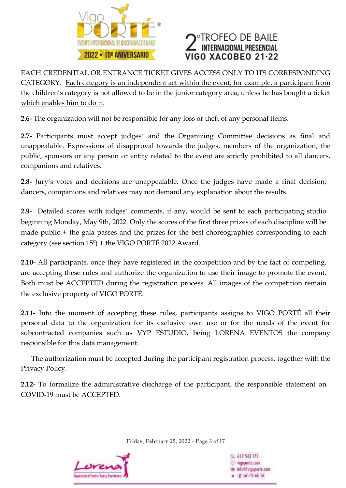



EACH CREDENTIAL OR ENTRANCE TICKET GIVES ACCESS ONLY TO ITS CORRESPONDING CATEGORY. Each category is an independent act within the event; for example, a participant from the children's category is not allowed to be in the junior category area, unless he has bought a ticket which enables him to do it.

**2.6-** The organization will not be responsible for any loss or theft of any personal items.

**2.7-** Participants must accept judges´ and the Organizing Committee decisions as final and unappealable. Expressions of disapproval towards the judges, members of the organization, the public, sponsors or any person or entity related to the event are strictly prohibited to all dancers, companions and relatives.

**2.8-** Jury's votes and decisions are unappealable. Once the judges have made a final decision; dancers, companions and relatives may not demand any explanation about the results.

**2.9-** Detailed scores with judges´ comments, if any, would be sent to each participating studio beginning Monday, May 9th, 2022. Only the scores of the first three prizes of each discipline will be made public + the gala passes and the prizes for the best choreographies corresponding to each category (see section  $15^{\circ}$ ) + the VIGO PORTÉ 2022 Award.

**2.10-** All participants, once they have registered in the competition and by the fact of competing, are accepting these rules and authorize the organization to use their image to promote the event. Both must be ACCEPTED during the registration process. All images of the competition remain the exclusive property of VIGO PORTÉ.

**2.11-** Into the moment of accepting these rules, participants assigns to VIGO PORTÉ all their personal data to the organization for its exclusive own use or for the needs of the event for subcontracted companies such as VYP ESTUDIO, being LORENA EVENTOS the company responsible for this data management.

 The [authorization](https://dictionary.cambridge.org/es/diccionario/ingles-espanol/authorization) [must](https://dictionary.cambridge.org/es/diccionario/ingles-espanol/must) [be](https://dictionary.cambridge.org/es/diccionario/ingles-espanol/be) [accepted](https://dictionary.cambridge.org/es/diccionario/ingles-espanol/accepted) [during](https://dictionary.cambridge.org/es/diccionario/ingles-espanol/during) [the](https://dictionary.cambridge.org/es/diccionario/ingles-espanol/the) participant [registration](https://dictionary.cambridge.org/es/diccionario/ingles-espanol/registration) [process,](https://dictionary.cambridge.org/es/diccionario/ingles-espanol/process) together with the Privacy Policy.

**2.12-** To formalize the administrative discharge of the participant, the responsible statement on COVID-19 must be ACCEPTED.

Friday, February 25, 2022 - Page 3 of 17



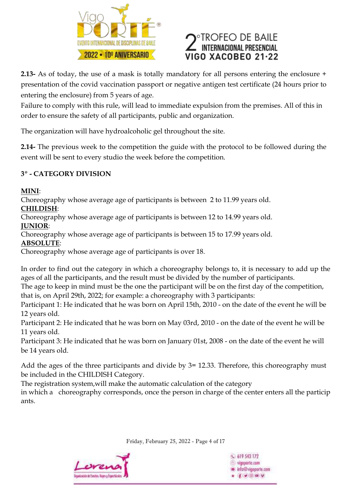



**2.13-** As of today, the use of a mask is totally mandatory for all persons entering the enclosure + presentation of the covid vaccination passport or negative antigen test certificate (24 hours prior to entering the enclosure) from 5 years of age.

Failure to comply with this rule, will lead to immediate expulsion from the premises. All of this in order to ensure the safety of all participants, public and organization.

[The](https://dictionary.cambridge.org/es/diccionario/ingles-espanol/the) [organization](https://dictionary.cambridge.org/es/diccionario/ingles-espanol/organization) [will](https://dictionary.cambridge.org/es/diccionario/ingles-espanol/will) [have](https://dictionary.cambridge.org/es/diccionario/ingles-espanol/have) hydroalcoholic [gel](https://dictionary.cambridge.org/es/diccionario/ingles-espanol/gel) [throughout](https://dictionary.cambridge.org/es/diccionario/ingles-espanol/throughout) [the](https://dictionary.cambridge.org/es/diccionario/ingles-espanol/the) site.

**2.14-** The previous week to the competition the guide with the protocol to be followed during the event will be sent to every studio the week before the competition.

### **3º - CATEGORY DIVISION**

### **MINI**:

Choreography whose average age of participants is between 2 to 11.99 years old.

### **CHILDISH**:

Choreography whose average age of participants is between 12 to 14.99 years old. **JUNIOR**:

Choreography whose average age of participants is between 15 to 17.99 years old.

**ABSOLUTE**:

Choreography whose average age of participants is over 18.

In order to find out the category in which a choreography belongs to, it is necessary to add up the ages of all the participants, and the result must be divided by the number of participants.

The age to keep in mind must be the one the participant will be on the first day of the competition, that is, on April 29th, 2022; for example: a choreography with 3 participants:

Participant 1: He indicated that he was born on April 15th, 2010 - on the date of the event he will be 12 years old.

Participant 2: He indicated that he was born on May 03rd, 2010 - on the date of the event he will be 11 years old.

Participant 3: He indicated that he was born on January 01st, 2008 - on the date of the event he will be 14 years old.

Add the ages of the three participants and divide by 3= 12.33. Therefore, this choreography must be included in the CHILDISH Category.

[The](https://dictionary.cambridge.org/es/diccionario/ingles-espanol/the) [registration](https://dictionary.cambridge.org/es/diccionario/ingles-espanol/registration) [system,](https://dictionary.cambridge.org/es/diccionario/ingles-espanol/system)[will](https://dictionary.cambridge.org/es/diccionario/ingles-espanol/will) [make](https://dictionary.cambridge.org/es/diccionario/ingles-espanol/make) [the](https://dictionary.cambridge.org/es/diccionario/ingles-espanol/the) [automatic](https://dictionary.cambridge.org/es/diccionario/ingles-espanol/automatic) [calculation](https://dictionary.cambridge.org/es/diccionario/ingles-espanol/calculation) [of](https://dictionary.cambridge.org/es/diccionario/ingles-espanol/of) [the](https://dictionary.cambridge.org/es/diccionario/ingles-espanol/the) [category](https://dictionary.cambridge.org/es/diccionario/ingles-espanol/category)

in [which](https://dictionary.cambridge.org/es/diccionario/ingles-espanol/which) [a](https://dictionary.cambridge.org/es/diccionario/ingles-espanol/a) [choreography](https://dictionary.cambridge.org/es/diccionario/ingles-espanol/choreography) corresponds, [once](https://dictionary.cambridge.org/es/diccionario/ingles-espanol/once) [the](https://dictionary.cambridge.org/es/diccionario/ingles-espanol/the) [person](https://dictionary.cambridge.org/es/diccionario/ingles-espanol/person) [in](https://dictionary.cambridge.org/es/diccionario/ingles-espanol/in) [charge](https://dictionary.cambridge.org/es/diccionario/ingles-espanol/charge) [of](https://dictionary.cambridge.org/es/diccionario/ingles-espanol/of) [the](https://dictionary.cambridge.org/es/diccionario/ingles-espanol/the) [center](https://dictionary.cambridge.org/es/diccionario/ingles-espanol/center) enters [all](https://dictionary.cambridge.org/es/diccionario/ingles-espanol/all) [the](https://dictionary.cambridge.org/es/diccionario/ingles-espanol/the) particip ants.

Friday, February 25, 2022 - Page 4 of 17



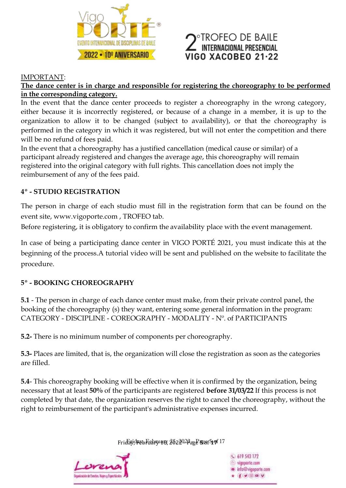

# **TROFEO DE BAILE ITERNACIONAL PRESENCIAL** /IGO XACOBEO 21-22

#### IMPORTANT:

### **The dance center is in charge and responsible for registering the choreography to be performed in the corresponding category.**

In the event that the dance center proceeds to register a choreography in the wrong category, either because it is incorrectly registered, or because of a change in a member, it is up to the organization to allow it to be changed (subject to availability), or that the choreography is performed in the category in which it was registered, but will not enter the competition and there will be no refund of fees paid.

In the event that a choreography has a justified cancellation (medical cause or similar) of a participant already registered and changes the average age, this choreography will remain registered into the original category with full rights. This cancellation does not imply the reimbursement of any of the fees paid.

### **4º - STUDIO REGISTRATION**

The person in charge of each studio must fill in the registration form that can be found on the event site, www.vigoporte.com , TROFEO tab.

Before registering, it is obligatory to confirm the availability place with the event management.

In case of being a participating dance center in VIGO PORTÉ 2021, you must indicate this at the beginning of the process.A tutorial video will be sent and published on the website to facilitate the procedure.

### **5º - BOOKING CHOREOGRAPHY**

**5.1** - The person in charge of each dance center must make, from their private control panel, the booking of the choreography (s) they want, entering some general information in the program: CATEGORY - DISCIPLINE - COREOGRAPHY - MODALITY - Nº. of PARTICIPANTS

**5.2-** There is no minimum number of components per choreography.

**5.3-** Places are limited, that is, the organization will close the registration as soon as the categories are filled.

**5.4**- This choreography booking will be effective when it is confirmed by the organization, being necessary that at least **50%** of the participants are registered **before 31/03/22** If this process is not completed by that date, the organization reserves the right to cancel the choreography, without the right to reimbursement of the participant's administrative expenses incurred.

Friday, FridayFebruary , February 18, 2022 25, 2022 - Page - Page **5** of5**17**of 17



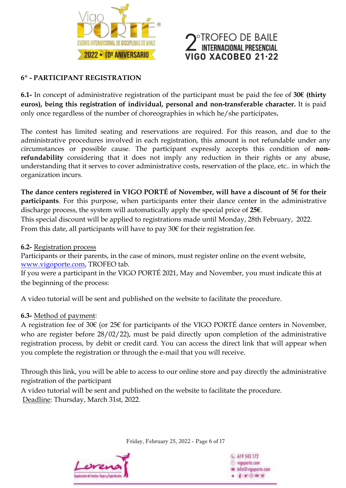



### **6º - PARTICIPANT REGISTRATION**

**6.1-** In concept of administrative registration of the participant must be paid the fee of **30€ (thirty euros), being this registration of individual, personal and non-transferable character.** It is paid only once regardless of the number of choreographies in which he/she participates**.**

The contest has limited seating and reservations are required. For this reason, and due to the administrative procedures involved in each registration, this amount is not refundable under any circumstances or possible cause. The participant expressly accepts this condition of **nonrefundability** considering that it does not imply any reduction in their rights or any abuse, understanding that it serves to cover administrative costs, reservation of the place, etc.. in which the organization incurs.

**The dance centers registered in VIGO PORTÉ of November, will have a discount of 5€ for their participants**. For this purpose, when participants enter their dance center in the administrative discharge process, the system will automatically apply the special price of **25€**.

This special discount will be applied to registrations made until Monday, 28th February, 2022. From this date, all participants will have to pay  $30 \epsilon$  for their registration fee.

### **6.2-** Registration process

Participants or their parents, in the case of minors, must register online on the event website, [www.vigoporte.com,](http://www.vigoporte.com/) TROFEO tab.

If you were a participant in the VIGO PORTÉ 2021, May and November, you must indicate this at the beginning of the process:

A video tutorial will be sent and published on the website to facilitate the procedure.

### **6.3-** Method of payment:

A registration fee of 30€ (or 25€ for participants of the VIGO PORTÉ dance centers in November, who are register before 28/02/22), must be paid directly upon completion of the administrative registration process, by debit or credit card. You can access the direct link that will appear when you complete the registration or through the e-mail that you will receive.

Through this link, you will be able to access to our online store and pay directly the administrative registration of the participant

A video tutorial will be sent and published on the website to facilitate the procedure. Deadline: Thursday, March 31st, 2022.

Friday, February 25, 2022 - Page 6 of 17



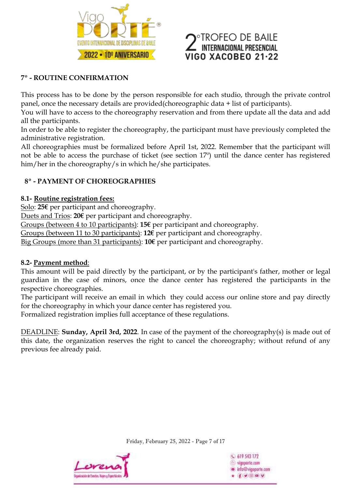

# ROFEO DE BAILE TERNACIONAL PRESENCIAL **IGO XACOBEO 21-22**

### **7º - ROUTINE CONFIRMATION**

This process has to be done by the person responsible for each studio, through the private control panel, once the necessary details are provided(choreographic data + list of participants).

You will have to access to the choreography reservation and from there update all the data and add all the participants.

In order to be able to register the choreography, the participant must have previously completed the administrative registration.

All choreographies must be formalized before April 1st, 2022. Remember that the participant will not be able to access the purchase of ticket (see section 17º) until the dance center has registered him/her in the choreography/s in which he/she participates.

### **8º - PAYMENT OF CHOREOGRAPHIES**

### **8.1- Routine registration fees:**

Solo: **25€** per participant and choreography.

Duets and Trios: **20€** per participant and choreography.

Groups (between 4 to 10 participants): **15€** per participant and choreography.

Groups (between 11 to 30 participants): **12€** per participant and choreography.

Big Groups (more than 31 participants): **10€** per participant and choreography.

### **8.2- Payment method**:

This amount will be paid directly by the participant, or by the participant's father, mother or legal guardian in the case of minors, once the dance center has registered the participants in the respective choreographies.

The participant will receive an email in which they could access our online store and pay directly for the choreography in which your dance center has registered you.

Formalized registration implies full acceptance of these regulations.

DEADLINE: **Sunday, April 3rd, 2022**. In case of the payment of the choreography(s) is made out of this date, the organization reserves the right to cancel the choreography; without refund of any previous fee already paid.

Friday, February 25, 2022 - Page 7 of 17



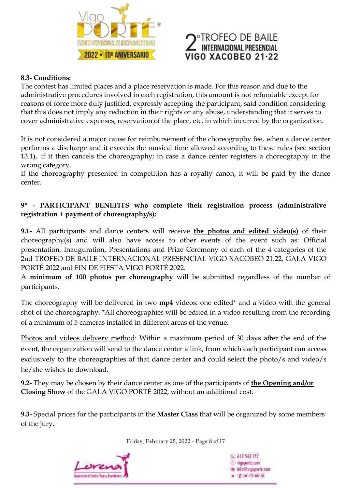

# **TROFEO DE BAILE** NTERNACIONAL PRESENCIAL **160 XACOBEO 21.22**

### **8.3- Conditions:**

The contest has limited places and a place reservation is made. For this reason and due to the administrative procedures involved in each registration, this amount is not refundable except for reasons of force more duly justified, expressly accepting the participant, said condition considering that this does not imply any reduction in their rights or any abuse, understanding that it serves to cover administrative expenses, reservation of the place, etc. in which incurred by the organization.

It is not considered a major cause for reimbursement of the choreography fee, when a dance center performs a discharge and it exceeds the musical time allowed according to these rules (see section 13.1), if it then cancels the choreography; in case a dance center registers a choreography in the wrong category.

If the choreography presented in competition has a royalty canon, it will be paid by the dance center.

### **9º - PARTICIPANT BENEFITS who complete their registration process (administrative registration + payment of choreography/s):**

**9.1-** All participants and dance centers will receive **the photos and edited video(s)** of their choreography(s) and will also have access to other events of the event such as: Official presentation, Inauguration, Presentations and Prize Ceremony of each of the 4 categories of the 2nd TROFEO DE BAILE INTERNACIONAL PRESENCIAL VIGO XACOBEO 21.22, GALA VIGO PORTÉ 2022 and FIN DE FIESTA VIGO PORTÉ 2022.

A **minimum of 100 photos per choreography** will be submitted regardless of the number of participants.

The choreography will be delivered in two **mp4** videos: one edited\* and a video with the general shot of the choreography. \*All choreographies will be edited in a video resulting from the recording of a minimum of 5 cameras installed in different areas of the venue.

Photos and videos delivery method: Within a maximum period of 30 days after the end of the event, the organization will send to the dance center a link, from which each participant can access exclusively to the choreographies of that dance center and could select the photo/s and video/s he/she wishes to download.

**9.2-** They may be chosen by their dance center as one of the participants of **the Opening and/or Closing Show** of the GALA VIGO PORTÉ 2022, without an additional cost.

**9.3-** Special prices for the participants in the **Master Class** that will be organized by some members of the jury.

Friday, February 25, 2022 - Page 8 of 17



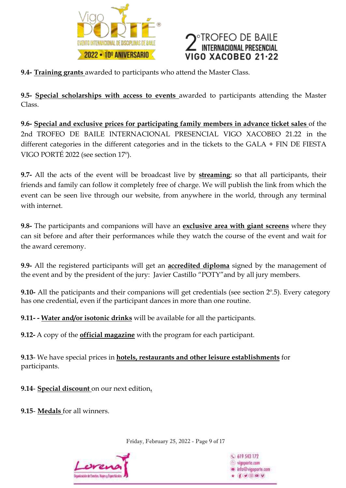

# FEO DE BAILE<br>Nacional presencial GO XACOBEO 21·22

**9.4- Training grants** awarded to participants who attend the Master Class.

**9.5- Special scholarships with access to events** awarded to participants attending the Master Class.

**9.6- Special and exclusive prices for participating family members in advance ticket sales** of the 2nd TROFEO DE BAILE INTERNACIONAL PRESENCIAL VIGO XACOBEO 21.22 in the different categories in the different categories and in the tickets to the GALA + FIN DE FIESTA VIGO PORTÉ 2022 (see section 17º).

**9.7-** All the acts of the event will be broadcast live by **streaming**; so that all participants, their friends and family can follow it completely free of charge. We will publish the link from which the event can be seen live through our website, from anywhere in the world, through any terminal with internet.

**9.8-** The participants and companions will have an **exclusive area with giant screens** where they can sit before and after their performances while they watch the course of the event and wait for the award ceremony.

**9.9-** All the registered participants will get an **accredited diploma** signed by the management of the event and by the president of the jury: Javier Castillo "POTY"and by all jury members.

**9.10-** All the paticipants and their companions will get credentials (see section 2º.5). Every category has one credential, even if the participant dances in more than one routine.

**9.11- - Water and/or isotonic drinks** will be available for all the participants.

**9.12-** A copy of the **official magazine** with the program for each participant.

**9.13**- We have special prices in **hotels, restaurants and other leisure establishments** for participants.

**9.14**- **Special discount** on our next edition**.**

**9.15**- **Medals** for all winners.

Friday, February 25, 2022 - Page 9 of 17



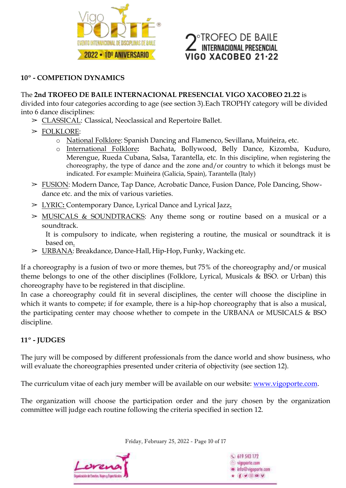

# **TROFEO DE BAILE TERNACIONAL PRESENCIAL** 11GO XACOBEO 21.22

### **10º - COMPETION DYNAMICS**

#### The **2nd TROFEO DE BAILE INTERNACIONAL PRESENCIAL VIGO XACOBEO 21.22** is

divided into four categories according to age (see section 3).Each TROPHY category will be divided into 6 dance disciplines:

- ➢ CLASSICAL: Classical, Neoclassical and Repertoire Ballet.
- ➢ FOLKLORE:
	- o National Folklore: Spanish Dancing and Flamenco, Sevillana, Muiñeira, etc.
		- o International Folklore**:** Bachata, Bollywood, Belly Dance, Kizomba, Kuduro, Merengue, Rueda Cubana, Salsa, Tarantella, etc. In this discipline, when registering the choreography, the type of dance and the zone and/or country to which it belongs must be indicated. For example: Muiñeira (Galicia, Spain), Tarantella (Italy)
- ➢ FUSION: Modern Dance, Tap Dance, Acrobatic Dance, Fusion Dance, Pole Dancing, Showdance etc. and the mix of various varieties.
- ➢ LYRIC**:** Contemporary Dance, Lyrical Dance and Lyrical Jazz**.**
- ➢ MUSICALS & SOUNDTRACKS: Any theme song or routine based on a musical or a soundtrack.

It is compulsory to indicate, when registering a routine, the musical or soundtrack it is based on.

➢ URBANA: Breakdance, Dance-Hall, Hip-Hop, Funky, Wacking etc.

If a choreography is a fusion of two or more themes, but 75% of the choreography and/or musical theme belongs to one of the other disciplines (Folklore, Lyrical, Musicals & BSO. or Urban) this choreography have to be registered in that discipline.

In case a choreography could fit in several disciplines, the center will choose the discipline in which it wants to compete; if for example, there is a hip-hop choreography that is also a musical, the participating center may choose whether to compete in the URBANA or MUSICALS & BSO discipline.

### **11º - JUDGES**

The jury will be composed by different professionals from the dance world and show business, who will evaluate the choreographies presented under criteria of objectivity (see section 12).

The curriculum vitae of each jury member will be available on our website: [www.vigoporte.com.](http://www.vigoporte.com/)

The organization will choose the participation order and the jury chosen by the organization committee will judge each routine following the criteria specified in section 12.

Friday, February 25, 2022 - Page 10 of 17



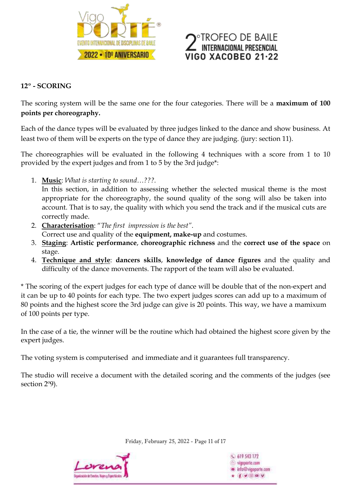

# **ROFEO DE BAILE** ERNACIONAL PRESENCIAL **GO XACOBEO 21-22**

### **12º - SCORING**

The scoring system will be the same one for the four categories. There will be a **maximum of 100 points per choreography.**

Each of the dance types will be evaluated by three judges linked to the dance and show business. At least two of them will be experts on the type of dance they are judging. (jury: section 11).

The choreographies will be evaluated in the following 4 techniques with a score from 1 to 10 provided by the expert judges and from 1 to 5 by the 3rd judge\*:

1. **Music**: *What is starting to sound…???.*

In this section, in addition to assessing whether the selected musical theme is the most appropriate for the choreography, the sound quality of the song will also be taken into account. That is to say, the quality with which you send the track and if the musical cuts are correctly made.

- 2. **Characterisation**: "*The first impression is the best"*. Correct use and quality of the **equipment, make-up** and costumes.
- 3. **Staging**: **Artistic performance**, **choreographic richness** and the **correct use of the space** on stage.
- 4. **Technique and style**: **dancers skills**, **knowledge of dance figures** and the quality and difficulty of the dance movements. The rapport of the team will also be evaluated.

\* The scoring of the expert judges for each type of dance will be double that of the non-expert and it can be up to 40 points for each type. The two expert judges scores can add up to a maximum of 80 points and the highest score the 3rd judge can give is 20 points. This way, we have a mamixum of 100 points per type.

In the case of a tie, the winner will be the routine which had obtained the highest score given by the expert judges.

The voting system is computerised and immediate and it guarantees full transparency.

The studio will receive a document with the detailed scoring and the comments of the judges (see section 2º9).

Friday, February 25, 2022 - Page 11 of 17



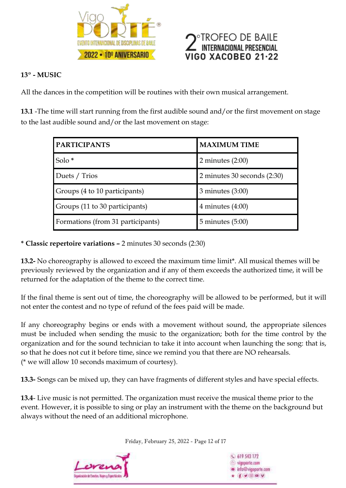



### **13º - MUSIC**

All the dances in the competition will be routines with their own musical arrangement.

**13.1** -The time will start running from the first audible sound and/or the first movement on stage to the last audible sound and/or the last movement on stage:

| <b>PARTICIPANTS</b>               | <b>MAXIMUM TIME</b>         |
|-----------------------------------|-----------------------------|
| Solo <sup>*</sup>                 | 2 minutes $(2:00)$          |
| Duets / Trios                     | 2 minutes 30 seconds (2:30) |
| Groups (4 to 10 participants)     | $3$ minutes $(3:00)$        |
| Groups (11 to 30 participants)    | 4 minutes $(4:00)$          |
| Formations (from 31 participants) | $5$ minutes $(5:00)$        |

**\* Classic repertoire variations –** 2 minutes 30 seconds (2:30)

**13.2-** No choreography is allowed to exceed the maximum time limit\*. All musical themes will be previously reviewed by the organization and if any of them exceeds the authorized time, it will be returned for the adaptation of the theme to the correct time.

If the final theme is sent out of time, the choreography will be allowed to be performed, but it will not enter the contest and no type of refund of the fees paid will be made.

If any choreography begins or ends with a movement without sound, the appropriate silences must be included when sending the music to the organization; both for the time control by the organization and for the sound technician to take it into account when launching the song: that is, so that he does not cut it before time, since we remind you that there are NO rehearsals. (\* we will allow 10 seconds maximum of courtesy).

**13.3-** Songs can be mixed up, they can have fragments of different styles and have special effects.

**13.4**- Live music is not permitted. The organization must receive the musical theme prior to the event. However, it is possible to sing or play an instrument with the theme on the background but always without the need of an additional microphone.

Friday, February 25, 2022 - Page 12 of 17



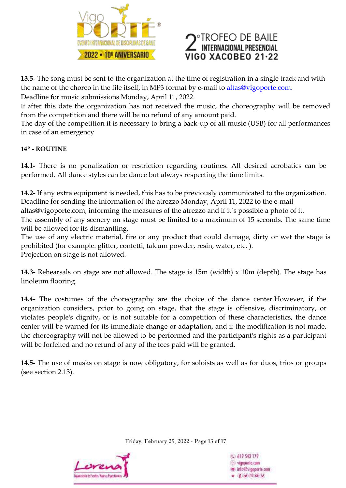



**13.5**- The song must be sent to the organization at the time of registration in a single track and with the name of the choreo in the file itself, in MP3 format by e-mail to [altas@vigoporte.com.](mailto:altas@vigoporte.com)

Deadline for music submissions Monday, April 11, 2022.

If after this date the organization has not received the music, the choreography will be removed from the competition and there will be no refund of any amount paid.

The day of the competition it is necessary to bring a back-up of all music (USB) for all performances in case of an emergency

### **14º - ROUTINE**

**14.1-** There is no penalization or restriction regarding routines. All desired acrobatics can be performed. All dance styles can be dance but always respecting the time limits.

**14.2-** If any extra equipment is needed, this has to be previously communicated to the organization. Deadline for sending the information of the atrezzo Monday, April 11, 2022 to the e-mail altas@vigoporte.com, informing the measures of the atrezzo and if it´s possible a photo of it. The assembly of any scenery on stage must be limited to a maximum of 15 seconds. The same time will be allowed for its dismantling.

The use of any electric material, fire or any product that could damage, dirty or wet the stage is prohibited (for example: glitter, confetti, talcum powder, resin, water, etc. ). Projection on stage is not allowed.

**14.3-** Rehearsals on stage are not allowed. The stage is 15m (width) x 10m (depth). The stage has linoleum flooring.

**14.4-** The costumes of the choreography are the choice of the dance center.However, if the organization considers, prior to going on stage, that the stage is offensive, discriminatory, or violates people's dignity, or is not suitable for a competition of these characteristics, the dance center will be warned for its immediate change or adaptation, and if the modification is not made, the choreography will not be allowed to be performed and the participant's rights as a participant will be forfeited and no refund of any of the fees paid will be granted.

**14.5-** The use of masks on stage is now obligatory, for soloists as well as for duos, trios or groups (see section 2.13).

Friday, February 25, 2022 - Page 13 of 17



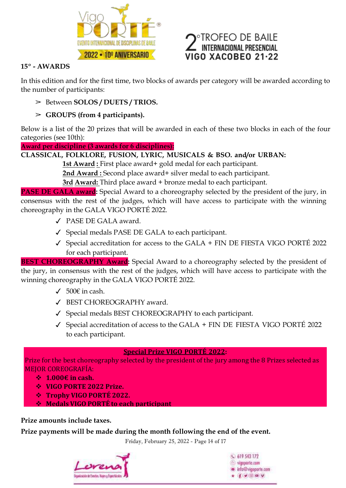



### **15º - AWARDS**

In this edition and for the first time, two blocks of awards per category will be awarded according to the number of participants:

- ➢ Between **SOLOS / DUETS / TRIOS.**
- ➢ **GROUPS (from 4 participants).**

Below is a list of the 20 prizes that will be awarded in each of these two blocks in each of the four categories (see 10th):

**Award per discipline (3 awards for 6 disciplines):**

# **CLASSICAL, FOLKLORE, FUSION, LYRIC, MUSICALS & BSO. and/or URBAN:**

**1st Award :** First place award+ gold medal for each participant.

**2nd Award :** Second place award+ silver medal to each participant.

**3rd Award:** Third place award + bronze medal to each participant.

**PASE DE GALA award:** Special Award to a choreography selected by the president of the jury, in consensus with the rest of the judges, which will have access to participate with the winning choreography in the GALA VIGO PORTÉ 2022.

- ✓ PASE DE GALA award.
- ✓ Special medals PASE DE GALA to each participant.
- ✓ Special accreditation for access to the GALA + FIN DE FIESTA VIGO PORTÉ 2022 for each participant.

**BEST CHOREOGRAPHY Award:** Special Award to a choreography selected by the president of the jury, in consensus with the rest of the judges, which will have access to participate with the winning choreography in the GALA VIGO PORTÉ 2022.

- ✓ 500€ in cash.
- ✓ BEST CHOREOGRAPHY award.
- ✓ Special medals BEST CHOREOGRAPHY to each participant.
- ✓ Special accreditation of access to the GALA + FIN DE FIESTA VIGO PORTÉ 2022 to each participant.

### **Special Prize VIGO PORTÉ 2022:**

Prize for the best choreography selected by the president of the jury among the 8 Prizes selected as MEJOR COREOGRAFÍA:

- **1.000€ in cash.**
- **VIGO PORTE 2022 Prize.**
- **Trophy VIGO PORTÉ 2022.**
- **Medals VIGO PORTÉ to each participant**

### **Prize amounts include taxes.**

**Prize payments will be made during the month following the end of the event.**

Friday, February 25, 2022 - Page 14 of 17



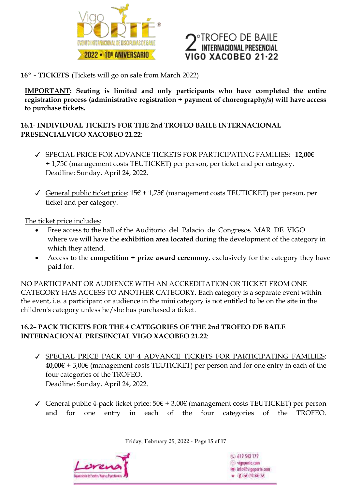

# TROFEO DE BAILE<br>Internacional presencial VIGO XACOBEO 21·22

**16º - TICKETS** (Tickets will go on sale from March 2022)

**IMPORTANT: Seating is limited and only participants who have completed the entire registration process (administrative registration + payment of choreography/s) will have access to purchase tickets.**

**16.1**- **INDIVIDUAL TICKETS FOR THE 2nd TROFEO BAILE INTERNACIONAL PRESENCIALVIGO XACOBEO 21.22**:

- ✓ SPECIAL PRICE FOR ADVANCE TICKETS FOR PARTICIPATING FAMILIES: **12,00€** + 1,75€ (management costs TEUTICKET) per person, per ticket and per category. Deadline: Sunday, April 24, 2022.
- ✓ General public ticket price: 15€ + 1,75€ (management costs TEUTICKET) per person, per ticket and per category.

The ticket price includes:

- Free access to the hall of the Auditorio del Palacio de Congresos MAR DE VIGO where we will have the **exhibition area located** during the development of the category in which they attend.
- Access to the **competition + prize award ceremony**, exclusively for the category they have paid for.

NO PARTICIPANT OR AUDIENCE WITH AN ACCREDITATION OR TICKET FROM ONE CATEGORY HAS ACCESS TO ANOTHER CATEGORY. Each category is a separate event within the event, i.e. a participant or audience in the mini category is not entitled to be on the site in the children's category unless he/she has purchased a ticket.

### **16.2– PACK TICKETS FOR THE 4 CATEGORIES OF THE 2nd TROFEO DE BAILE INTERNACIONAL PRESENCIAL VIGO XACOBEO 21.22**:

- ✓ SPECIAL PRICE PACK OF 4 ADVANCE TICKETS FOR PARTICIPATING FAMILIES: **40,00€** + 3,00€ (management costs TEUTICKET) per person and for one entry in each of the four categories of the TROFEO. Deadline: Sunday, April 24, 2022.
- ✓ General public 4-pack ticket price: 50€ + 3,00€ (management costs TEUTICKET) per person and for one entry in each of the four categories of the TROFEO.

Friday, February 25, 2022 - Page 15 of 17



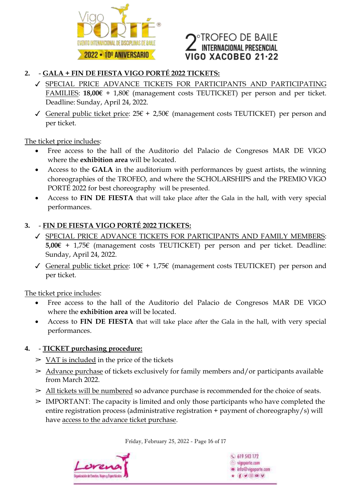

# **TROFEO DE BAILE** ITERNACIONAL PRESENCIAL VIGO XACOBEO 21·22

### **2.** - **GALA + FIN DE FIESTA VIGO PORTÉ 2022 TICKETS:**

- ✓ SPECIAL PRICE ADVANCE TICKETS FOR PARTICIPANTS AND PARTICIPATING FAMILIES: **18,00€** + 1,80€ (management costs TEUTICKET) per person and per ticket. Deadline: Sunday, April 24, 2022.
- ✓ General public ticket price: 25€ + 2,50€ (management costs TEUTICKET) per person and per ticket.

The ticket price includes:

- Free access to the hall of the Auditorio del Palacio de Congresos MAR DE VIGO where the **exhibition area** will be located.
- Access to the **GALA** in the auditorium with performances by guest artists, the winning choreographies of the TROFEO, and where the SCHOLARSHIPS and the PREMIO VIGO PORTÉ 2022 for best choreography will be presented.
- Access to **FIN DE FIESTA** that will take place after the Gala in the hall, with very special performances.

### **3.** - **FIN DE FIESTA VIGO PORTÉ 2022 TICKETS:**

- ✓ SPECIAL PRICE ADVANCE TICKETS FOR PARTICIPANTS AND FAMILY MEMBERS: **5,00€** + 1,75€ (management costs TEUTICKET) per person and per ticket. Deadline: Sunday, April 24, 2022.
- ✓ General public ticket price: 10€ + 1,75€ (management costs TEUTICKET) per person and per ticket.

The ticket price includes:

- Free access to the hall of the Auditorio del Palacio de Congresos MAR DE VIGO where the **exhibition area** will be located.
- Access to **FIN DE FIESTA** that will take place after the Gala in the hall, with very special performances.

### **4.** - **TICKET purchasing procedure:**

- $>$  VAT is included in the price of the tickets
- $\geq$  Advance purchase of tickets exclusively for family members and/or participants available from March 2022.
- $\ge$  All tickets will be numbered so advance purchase is recommended for the choice of seats.
- $\geq$  IMPORTANT: The capacity is limited and only those participants who have completed the entire registration process (administrative registration + payment of choreography/s) will have access to the advance ticket purchase.

Friday, February 25, 2022 - Page 16 of 17